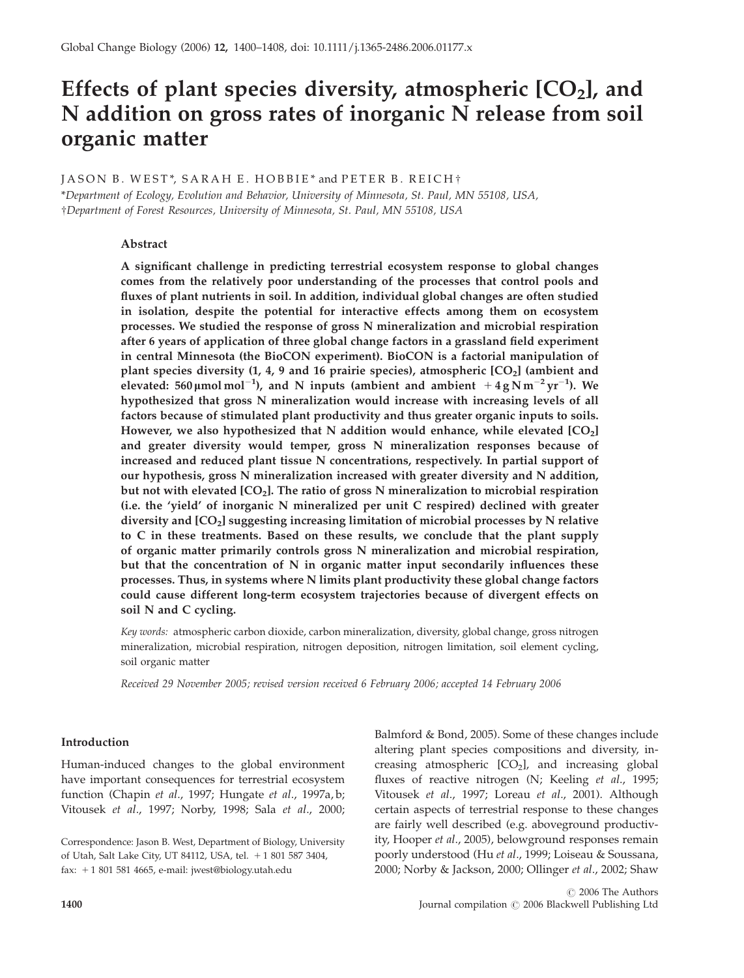# Effects of plant species diversity, atmospheric  $[CO<sub>2</sub>]$ , and N addition on gross rates of inorganic N release from soil organic matter

## $IASON B. WEST*$ ,  $SARAH E. HOBBIE*$  and  $PETER B. REICH*$

\*Department of Ecology, Evolution and Behavior, University of Minnesota, St. Paul, MN 55108, USA, wDepartment of Forest Resources, University of Minnesota, St. Paul, MN 55108, USA

## Abstract

A significant challenge in predicting terrestrial ecosystem response to global changes comes from the relatively poor understanding of the processes that control pools and fluxes of plant nutrients in soil. In addition, individual global changes are often studied in isolation, despite the potential for interactive effects among them on ecosystem processes. We studied the response of gross N mineralization and microbial respiration after 6 years of application of three global change factors in a grassland field experiment in central Minnesota (the BioCON experiment). BioCON is a factorial manipulation of plant species diversity (1, 4, 9 and 16 prairie species), atmospheric  $[CO<sub>2</sub>]$  (ambient and elevated: 560  $\mu$ mol mol<sup>-1</sup>), and N inputs (ambient and ambient  $+4$  gNm<sup>-2</sup> yr<sup>-1</sup>). We hypothesized that gross N mineralization would increase with increasing levels of all factors because of stimulated plant productivity and thus greater organic inputs to soils. However, we also hypothesized that N addition would enhance, while elevated [CO<sub>2</sub>] and greater diversity would temper, gross N mineralization responses because of increased and reduced plant tissue N concentrations, respectively. In partial support of our hypothesis, gross N mineralization increased with greater diversity and N addition, but not with elevated  $[CO<sub>2</sub>]$ . The ratio of gross N mineralization to microbial respiration (i.e. the 'yield' of inorganic N mineralized per unit C respired) declined with greater diversity and  $[CO<sub>2</sub>]$  suggesting increasing limitation of microbial processes by N relative to C in these treatments. Based on these results, we conclude that the plant supply of organic matter primarily controls gross N mineralization and microbial respiration, but that the concentration of N in organic matter input secondarily influences these processes. Thus, in systems where N limits plant productivity these global change factors could cause different long-term ecosystem trajectories because of divergent effects on soil N and C cycling.

Key words: atmospheric carbon dioxide, carbon mineralization, diversity, global change, gross nitrogen mineralization, microbial respiration, nitrogen deposition, nitrogen limitation, soil element cycling, soil organic matter

Received 29 November 2005; revised version received 6 February 2006; accepted 14 February 2006

## Introduction

Human-induced changes to the global environment have important consequences for terrestrial ecosystem function (Chapin et al., 1997; Hungate et al., 1997a, b; Vitousek et al., 1997; Norby, 1998; Sala et al., 2000;

Balmford & Bond, 2005). Some of these changes include altering plant species compositions and diversity, increasing atmospheric  $[CO<sub>2</sub>]$ , and increasing global fluxes of reactive nitrogen (N; Keeling et al., 1995; Vitousek et al., 1997; Loreau et al., 2001). Although certain aspects of terrestrial response to these changes are fairly well described (e.g. aboveground productivity, Hooper et al., 2005), belowground responses remain poorly understood (Hu et al., 1999; Loiseau & Soussana, 2000; Norby & Jackson, 2000; Ollinger et al., 2002; Shaw

Correspondence: Jason B. West, Department of Biology, University of Utah, Salt Lake City, UT 84112, USA, tel. + 1 801 587 3404, fax:  $+18015814665$ , e-mail: jwest@biology.utah.edu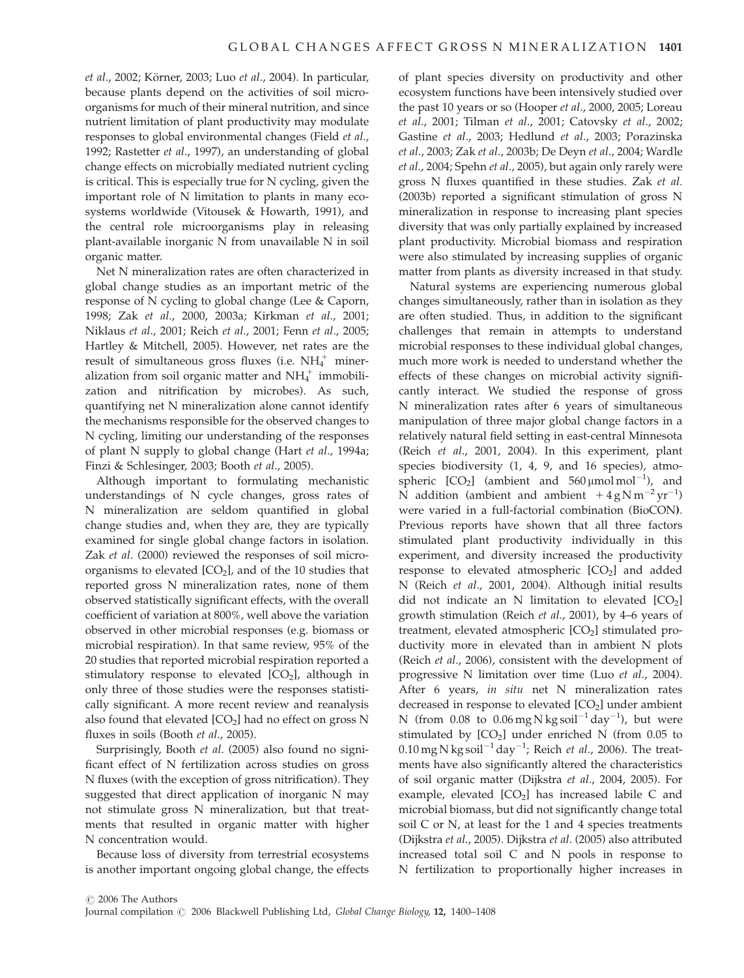et al., 2002; Körner, 2003; Luo et al., 2004). In particular, because plants depend on the activities of soil microorganisms for much of their mineral nutrition, and since nutrient limitation of plant productivity may modulate responses to global environmental changes (Field et al., 1992; Rastetter et al., 1997), an understanding of global change effects on microbially mediated nutrient cycling is critical. This is especially true for N cycling, given the important role of N limitation to plants in many ecosystems worldwide (Vitousek & Howarth, 1991), and the central role microorganisms play in releasing plant-available inorganic N from unavailable N in soil organic matter.

Net N mineralization rates are often characterized in global change studies as an important metric of the response of N cycling to global change (Lee & Caporn, 1998; Zak et al., 2000, 2003a; Kirkman et al., 2001; Niklaus et al., 2001; Reich et al., 2001; Fenn et al., 2005; Hartley & Mitchell, 2005). However, net rates are the result of simultaneous gross fluxes (i.e.  $\mathrm{NH_4^+}$  mineralization from soil organic matter and  $NH_4^+$  immobilization and nitrification by microbes). As such, quantifying net N mineralization alone cannot identify the mechanisms responsible for the observed changes to N cycling, limiting our understanding of the responses of plant N supply to global change (Hart et al., 1994a; Finzi & Schlesinger, 2003; Booth et al., 2005).

Although important to formulating mechanistic understandings of N cycle changes, gross rates of N mineralization are seldom quantified in global change studies and, when they are, they are typically examined for single global change factors in isolation. Zak et al. (2000) reviewed the responses of soil microorganisms to elevated  $[CO<sub>2</sub>]$ , and of the 10 studies that reported gross N mineralization rates, none of them observed statistically significant effects, with the overall coefficient of variation at 800%, well above the variation observed in other microbial responses (e.g. biomass or microbial respiration). In that same review, 95% of the 20 studies that reported microbial respiration reported a stimulatory response to elevated  $[CO<sub>2</sub>]$ , although in only three of those studies were the responses statistically significant. A more recent review and reanalysis also found that elevated  $[CO<sub>2</sub>]$  had no effect on gross N fluxes in soils (Booth et al., 2005).

Surprisingly, Booth et al. (2005) also found no significant effect of N fertilization across studies on gross N fluxes (with the exception of gross nitrification). They suggested that direct application of inorganic N may not stimulate gross N mineralization, but that treatments that resulted in organic matter with higher N concentration would.

Because loss of diversity from terrestrial ecosystems is another important ongoing global change, the effects

of plant species diversity on productivity and other ecosystem functions have been intensively studied over the past 10 years or so (Hooper et al., 2000, 2005; Loreau et al., 2001; Tilman et al., 2001; Catovsky et al., 2002; Gastine et al., 2003; Hedlund et al., 2003; Porazinska et al., 2003; Zak et al., 2003b; De Deyn et al., 2004; Wardle et al., 2004; Spehn et al., 2005), but again only rarely were gross N fluxes quantified in these studies. Zak et al. (2003b) reported a significant stimulation of gross N mineralization in response to increasing plant species diversity that was only partially explained by increased plant productivity. Microbial biomass and respiration were also stimulated by increasing supplies of organic matter from plants as diversity increased in that study.

Natural systems are experiencing numerous global changes simultaneously, rather than in isolation as they are often studied. Thus, in addition to the significant challenges that remain in attempts to understand microbial responses to these individual global changes, much more work is needed to understand whether the effects of these changes on microbial activity significantly interact. We studied the response of gross N mineralization rates after 6 years of simultaneous manipulation of three major global change factors in a relatively natural field setting in east-central Minnesota (Reich et al., 2001, 2004). In this experiment, plant species biodiversity  $(1, 4, 9, \text{ and } 16 \text{ species})$ , atmospheric  $[CO_2]$  (ambient and  $560 \mu$ mol mol<sup>-1</sup>), and N addition (ambient and ambient  $+4gNm^{-2}yr^{-1}$ ) were varied in a full-factorial combination (BioCON). Previous reports have shown that all three factors stimulated plant productivity individually in this experiment, and diversity increased the productivity response to elevated atmospheric  $[CO<sub>2</sub>]$  and added N (Reich et al., 2001, 2004). Although initial results did not indicate an N limitation to elevated  $[CO<sub>2</sub>]$ growth stimulation (Reich et al., 2001), by 4–6 years of treatment, elevated atmospheric  $[CO<sub>2</sub>]$  stimulated productivity more in elevated than in ambient N plots (Reich et al., 2006), consistent with the development of progressive N limitation over time (Luo et al., 2004). After 6 years, in situ net N mineralization rates decreased in response to elevated  $[CO<sub>2</sub>]$  under ambient N (from  $0.08$  to  $0.06$  mg N kg soil<sup>-1</sup> day<sup>-1</sup>), but were stimulated by  $[CO<sub>2</sub>]$  under enriched N (from 0.05 to  $0.10$  mg N kg soil<sup>-1</sup> day<sup>-1</sup>; Reich et al., 2006). The treatments have also significantly altered the characteristics of soil organic matter (Dijkstra et al., 2004, 2005). For example, elevated  $[CO<sub>2</sub>]$  has increased labile C and microbial biomass, but did not significantly change total soil C or N, at least for the 1 and 4 species treatments (Dijkstra et al., 2005). Dijkstra et al. (2005) also attributed increased total soil C and N pools in response to N fertilization to proportionally higher increases in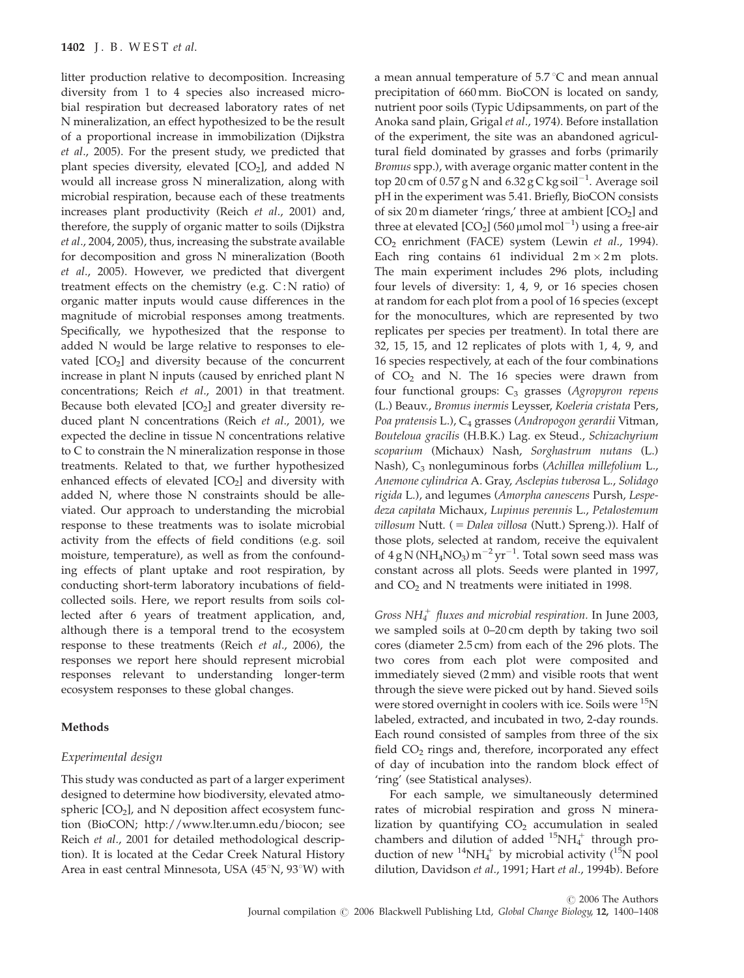litter production relative to decomposition. Increasing diversity from 1 to 4 species also increased microbial respiration but decreased laboratory rates of net N mineralization, an effect hypothesized to be the result of a proportional increase in immobilization (Dijkstra et al., 2005). For the present study, we predicted that plant species diversity, elevated  $[CO<sub>2</sub>]$ , and added N would all increase gross N mineralization, along with microbial respiration, because each of these treatments increases plant productivity (Reich et al., 2001) and, therefore, the supply of organic matter to soils (Dijkstra et al., 2004, 2005), thus, increasing the substrate available for decomposition and gross N mineralization (Booth et al., 2005). However, we predicted that divergent treatment effects on the chemistry (e.g.  $C: N$  ratio) of organic matter inputs would cause differences in the magnitude of microbial responses among treatments. Specifically, we hypothesized that the response to added N would be large relative to responses to elevated  $[CO<sub>2</sub>]$  and diversity because of the concurrent increase in plant N inputs (caused by enriched plant N concentrations; Reich et al., 2001) in that treatment. Because both elevated  $[CO<sub>2</sub>]$  and greater diversity reduced plant N concentrations (Reich et al., 2001), we expected the decline in tissue N concentrations relative to C to constrain the N mineralization response in those treatments. Related to that, we further hypothesized enhanced effects of elevated  $[CO<sub>2</sub>]$  and diversity with added N, where those N constraints should be alleviated. Our approach to understanding the microbial response to these treatments was to isolate microbial activity from the effects of field conditions (e.g. soil moisture, temperature), as well as from the confounding effects of plant uptake and root respiration, by conducting short-term laboratory incubations of fieldcollected soils. Here, we report results from soils collected after 6 years of treatment application, and, although there is a temporal trend to the ecosystem response to these treatments (Reich et al., 2006), the responses we report here should represent microbial responses relevant to understanding longer-term ecosystem responses to these global changes.

## Methods

#### Experimental design

This study was conducted as part of a larger experiment designed to determine how biodiversity, elevated atmospheric  $[CO<sub>2</sub>]$ , and N deposition affect ecosystem function (BioCON; http://www.lter.umn.edu/biocon; see Reich et al., 2001 for detailed methodological description). It is located at the Cedar Creek Natural History Area in east central Minnesota, USA  $(45°N, 93°W)$  with

a mean annual temperature of  $5.7 \degree C$  and mean annual precipitation of 660 mm. BioCON is located on sandy, nutrient poor soils (Typic Udipsamments, on part of the Anoka sand plain, Grigal et al., 1974). Before installation of the experiment, the site was an abandoned agricultural field dominated by grasses and forbs (primarily Bromus spp.), with average organic matter content in the top 20 cm of 0.57 g N and 6.32 g C kg soil $^{-1}$ . Average soil pH in the experiment was 5.41. Briefly, BioCON consists of six 20 m diameter 'rings,' three at ambient  $[CO<sub>2</sub>]$  and three at elevated [CO<sub>2</sub>] (560  $\mu$ mol mol $^{-1}$ ) using a free-air CO2 enrichment (FACE) system (Lewin et al., 1994). Each ring contains 61 individual  $2 \text{ m} \times 2 \text{ m}$  plots. The main experiment includes 296 plots, including four levels of diversity: 1, 4, 9, or 16 species chosen at random for each plot from a pool of 16 species (except for the monocultures, which are represented by two replicates per species per treatment). In total there are 32, 15, 15, and 12 replicates of plots with 1, 4, 9, and 16 species respectively, at each of the four combinations of  $CO<sub>2</sub>$  and N. The 16 species were drawn from four functional groups:  $C_3$  grasses (Agropyron repens (L.) Beauv., Bromus inermis Leysser, Koeleria cristata Pers, Poa pratensis L.), C<sub>4</sub> grasses (Andropogon gerardii Vitman, Bouteloua gracilis (H.B.K.) Lag. ex Steud., Schizachyrium scoparium (Michaux) Nash, Sorghastrum nutans (L.) Nash), C<sub>3</sub> nonleguminous forbs (Achillea millefolium L., Anemone cylindrica A. Gray, Asclepias tuberosa L., Solidago rigida L.), and legumes (Amorpha canescens Pursh, Lespedeza capitata Michaux, Lupinus perennis L., Petalostemum  $villosum$  Nutt. ( = Dalea  $villosa$  (Nutt.) Spreng.)). Half of those plots, selected at random, receive the equivalent of  $4 \text{ g N}$  (NH<sub>4</sub>NO<sub>3</sub>) m<sup>-2</sup> yr<sup>-1</sup>. Total sown seed mass was constant across all plots. Seeds were planted in 1997, and  $CO<sub>2</sub>$  and N treatments were initiated in 1998.

Gross  $NH_4^+$  fluxes and microbial respiration. In June 2003, we sampled soils at 0–20 cm depth by taking two soil cores (diameter 2.5 cm) from each of the 296 plots. The two cores from each plot were composited and immediately sieved (2 mm) and visible roots that went through the sieve were picked out by hand. Sieved soils were stored overnight in coolers with ice. Soils were <sup>15</sup>N labeled, extracted, and incubated in two, 2-day rounds. Each round consisted of samples from three of the six field  $CO<sub>2</sub>$  rings and, therefore, incorporated any effect of day of incubation into the random block effect of 'ring' (see Statistical analyses).

For each sample, we simultaneously determined rates of microbial respiration and gross N mineralization by quantifying  $CO<sub>2</sub>$  accumulation in sealed chambers and dilution of added  $^{15}NH_4^+$  through production of new  ${}^{14}NH_4^+$  by microbial activity ( ${}^{15}N$  pool dilution, Davidson et al., 1991; Hart et al., 1994b). Before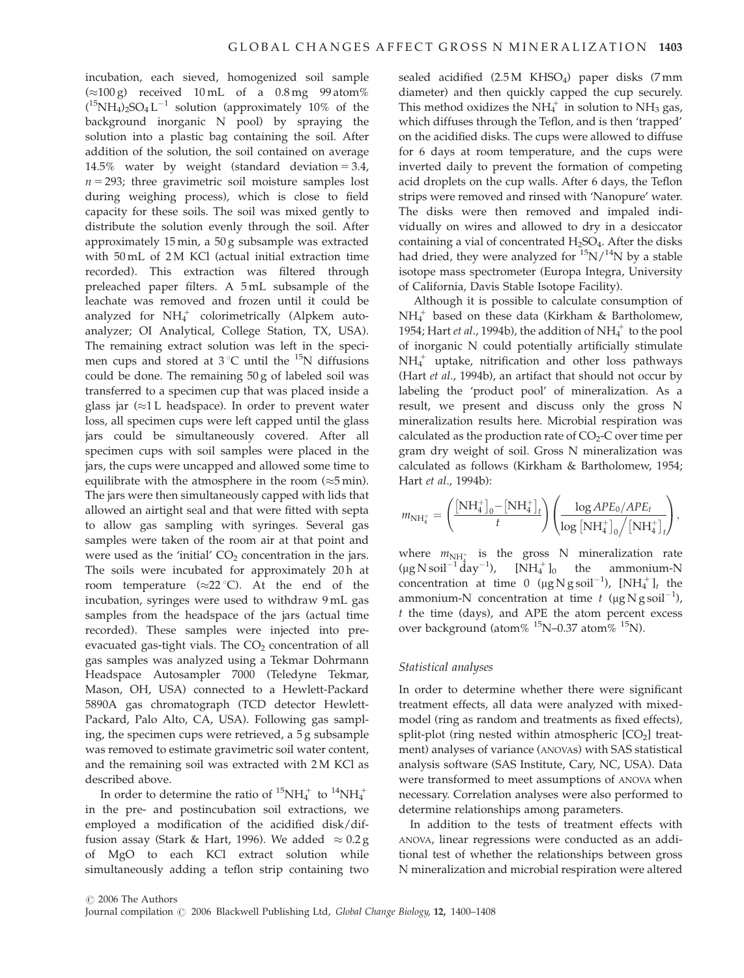incubation, each sieved, homogenized soil sample  $(\approx 100 \text{ g})$  received 10 mL of a 0.8 mg 99 atom%  $(^{15}NH_4)_2$ SO<sub>4</sub> L<sup>-1</sup> solution (approximately 10% of the background inorganic N pool) by spraying the solution into a plastic bag containing the soil. After addition of the solution, the soil contained on average 14.5% water by weight (standard deviation  $= 3.4$ ,  $n = 293$ ; three gravimetric soil moisture samples lost during weighing process), which is close to field capacity for these soils. The soil was mixed gently to distribute the solution evenly through the soil. After approximately 15 min, a 50 g subsample was extracted with 50 mL of 2 M KCl (actual initial extraction time recorded). This extraction was filtered through preleached paper filters. A 5 mL subsample of the leachate was removed and frozen until it could be analyzed for  $NH_4^+$  colorimetrically (Alpkem autoanalyzer; OI Analytical, College Station, TX, USA). The remaining extract solution was left in the specimen cups and stored at  $3^{\circ}$ C until the <sup>15</sup>N diffusions could be done. The remaining 50 g of labeled soil was transferred to a specimen cup that was placed inside a glass jar  $(\approx 1$  L headspace). In order to prevent water loss, all specimen cups were left capped until the glass jars could be simultaneously covered. After all specimen cups with soil samples were placed in the jars, the cups were uncapped and allowed some time to equilibrate with the atmosphere in the room  $(\approx 5 \text{ min})$ . The jars were then simultaneously capped with lids that allowed an airtight seal and that were fitted with septa to allow gas sampling with syringes. Several gas samples were taken of the room air at that point and were used as the 'initial'  $CO<sub>2</sub>$  concentration in the jars. The soils were incubated for approximately 20 h at room temperature  $(\approx 22 \degree C)$ . At the end of the incubation, syringes were used to withdraw 9 mL gas samples from the headspace of the jars (actual time recorded). These samples were injected into preevacuated gas-tight vials. The  $CO<sub>2</sub>$  concentration of all gas samples was analyzed using a Tekmar Dohrmann Headspace Autosampler 7000 (Teledyne Tekmar, Mason, OH, USA) connected to a Hewlett-Packard 5890A gas chromatograph (TCD detector Hewlett-Packard, Palo Alto, CA, USA). Following gas sampling, the specimen cups were retrieved, a 5 g subsample was removed to estimate gravimetric soil water content, and the remaining soil was extracted with 2 M KCl as described above.

In order to determine the ratio of  ${}^{15}NH_4^+$  to  ${}^{14}NH_4^+$ in the pre- and postincubation soil extractions, we employed a modification of the acidified disk/diffusion assay (Stark & Hart, 1996). We added  $\approx 0.2$  g of MgO to each KCl extract solution while simultaneously adding a teflon strip containing two

sealed acidified  $(2.5 M$  KHSO<sub>4</sub>) paper disks  $(7 mm)$ diameter) and then quickly capped the cup securely. This method oxidizes the  $NH_4^+$  in solution to  $NH_3$  gas, which diffuses through the Teflon, and is then 'trapped' on the acidified disks. The cups were allowed to diffuse for 6 days at room temperature, and the cups were inverted daily to prevent the formation of competing acid droplets on the cup walls. After 6 days, the Teflon strips were removed and rinsed with 'Nanopure' water. The disks were then removed and impaled individually on wires and allowed to dry in a desiccator containing a vial of concentrated  $H_2SO_4$ . After the disks had dried, they were analyzed for  $\binom{15}{14}$ N by a stable isotope mass spectrometer (Europa Integra, University of California, Davis Stable Isotope Facility).

Although it is possible to calculate consumption of  $NH_4^+$  based on these data (Kirkham & Bartholomew, 1954; Hart et al., 1994b), the addition of  $NH_4^+$  to the pool of inorganic N could potentially artificially stimulate NH4 <sup>1</sup> uptake, nitrification and other loss pathways (Hart et al., 1994b), an artifact that should not occur by labeling the 'product pool' of mineralization. As a result, we present and discuss only the gross N mineralization results here. Microbial respiration was calculated as the production rate of  $CO<sub>2</sub>-C$  over time per gram dry weight of soil. Gross N mineralization was calculated as follows (Kirkham & Bartholomew, 1954; Hart et al., 1994b):

$$
m_{\mathrm{NH}_{4}^{+}}=\Bigg(\frac{[\mathrm{NH}_{4}^{+}]_{0}-[\mathrm{NH}_{4}^{+}]_{t}}{t}\Bigg)\Bigg(\frac{\log APE_{0}/APE_{t}}{\log\big[\mathrm{NH}_{4}^{+}\big]_{0}\Big/\big[\mathrm{NH}_{4}^{+}\big]_{t}}\Bigg),
$$

where  $m_{\text{NH}_4^+}$  is the gross N mineralization rate  $(\mu g N \text{ soil}^{-1} \text{day}^{-1})$ ,  $[NH_4^+]_0$  the ammonium-N concentration at time 0  $(\mu g N g \text{ soil}^{-1})$ ,  $[NH_4^+]_t$  the ammonium-N concentration at time t ( $\mu$ g N g soil<sup>-1</sup>),  $t$  the time (days), and APE the atom percent excess over background (atom%  $^{15}$ N–0.37 atom%  $^{15}$ N).

#### Statistical analyses

In order to determine whether there were significant treatment effects, all data were analyzed with mixedmodel (ring as random and treatments as fixed effects), split-plot (ring nested within atmospheric  $[CO<sub>2</sub>]$  treatment) analyses of variance (ANOVAs) with SAS statistical analysis software (SAS Institute, Cary, NC, USA). Data were transformed to meet assumptions of ANOVA when necessary. Correlation analyses were also performed to determine relationships among parameters.

In addition to the tests of treatment effects with ANOVA, linear regressions were conducted as an additional test of whether the relationships between gross N mineralization and microbial respiration were altered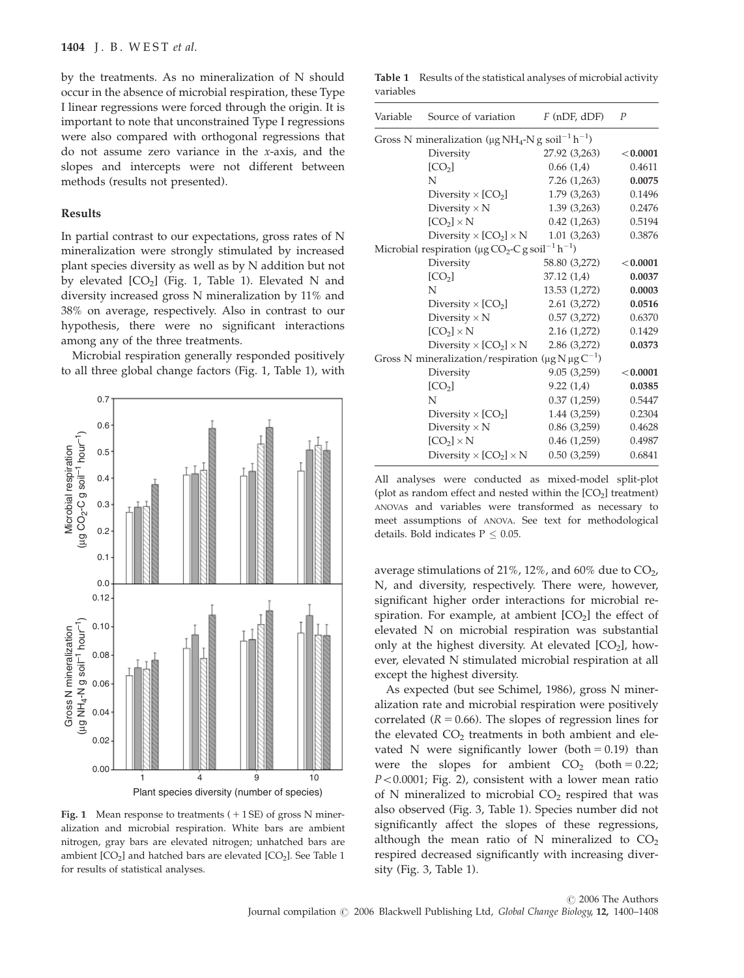by the treatments. As no mineralization of N should occur in the absence of microbial respiration, these Type I linear regressions were forced through the origin. It is important to note that unconstrained Type I regressions were also compared with orthogonal regressions that do not assume zero variance in the x-axis, and the slopes and intercepts were not different between methods (results not presented).

## Results

In partial contrast to our expectations, gross rates of N mineralization were strongly stimulated by increased plant species diversity as well as by N addition but not by elevated  $[CO_2]$  (Fig. 1, Table 1). Elevated N and diversity increased gross N mineralization by 11% and 38% on average, respectively. Also in contrast to our hypothesis, there were no significant interactions among any of the three treatments.

Microbial respiration generally responded positively to all three global change factors (Fig. 1, Table 1), with



Fig. 1 Mean response to treatments  $(+1SE)$  of gross N mineralization and microbial respiration. White bars are ambient nitrogen, gray bars are elevated nitrogen; unhatched bars are ambient  $[CO_2]$  and hatched bars are elevated  $[CO_2]$ . See Table 1 for results of statistical analyses.

Table 1 Results of the statistical analyses of microbial activity variables

| Variable                                                                                   | Source of variation                              | $F$ (nDF, dDF) | $\boldsymbol{P}$ |
|--------------------------------------------------------------------------------------------|--------------------------------------------------|----------------|------------------|
| Gross N mineralization ( $\mu$ g NH <sub>4</sub> -N g soil <sup>-1</sup> h <sup>-1</sup> ) |                                                  |                |                  |
|                                                                                            | Diversity                                        | 27.92 (3,263)  | < 0.0001         |
|                                                                                            | [CO <sub>2</sub> ]                               | 0.66(1,4)      | 0.4611           |
|                                                                                            | N                                                | 7.26 (1,263)   | 0.0075           |
|                                                                                            | Diversity $\times$ [CO <sub>2</sub> ]            | 1.79(3,263)    | 0.1496           |
|                                                                                            | Diversity $\times N$                             | 1.39(3,263)    | 0.2476           |
|                                                                                            | $[CO2] \times N$                                 | 0.42(1,263)    | 0.5194           |
|                                                                                            | Diversity $\times$ [CO <sub>2</sub> ] $\times$ N | 1.01(3,263)    | 0.3876           |
| Microbial respiration ( $\mu$ g CO <sub>2</sub> -C g soil <sup>-1</sup> h <sup>-1</sup> )  |                                                  |                |                  |
|                                                                                            | Diversity                                        | 58.80 (3,272)  | < 0.0001         |
|                                                                                            | [CO <sub>2</sub> ]                               | 37.12 (1,4)    | 0.0037           |
|                                                                                            | N                                                | 13.53 (1,272)  | 0.0003           |
|                                                                                            | Diversity $\times$ [CO <sub>2</sub> ]            | 2.61 (3,272)   | 0.0516           |
|                                                                                            | Diversity $\times N$                             | 0.57(3,272)    | 0.6370           |
|                                                                                            | $[CO2] \times N$                                 | 2.16(1,272)    | 0.1429           |
|                                                                                            | Diversity $\times$ [CO <sub>2</sub> ] $\times$ N | 2.86 (3,272)   | 0.0373           |
| Gross N mineralization/respiration ( $\mu$ g N $\mu$ g C <sup>-1</sup> )                   |                                                  |                |                  |
|                                                                                            | Diversity                                        | 9.05(3,259)    | < 0.0001         |
|                                                                                            | [CO <sub>2</sub> ]                               | 9.22(1,4)      | 0.0385           |
|                                                                                            | N                                                | 0.37(1,259)    | 0.5447           |
|                                                                                            | Diversity $\times$ [CO <sub>2</sub> ]            | 1.44(3,259)    | 0.2304           |
|                                                                                            | Diversity $\times N$                             | 0.86(3,259)    | 0.4628           |
|                                                                                            | $[CO2] \times N$                                 | 0.46(1,259)    | 0.4987           |
|                                                                                            | Diversity $\times$ [CO <sub>2</sub> ] $\times$ N | 0.50(3,259)    | 0.6841           |

All analyses were conducted as mixed-model split-plot (plot as random effect and nested within the  $[CO<sub>2</sub>]$  treatment) ANOVAs and variables were transformed as necessary to meet assumptions of ANOVA. See text for methodological details. Bold indicates  $P < 0.05$ .

average stimulations of 21%, 12%, and 60% due to  $CO<sub>2</sub>$ , N, and diversity, respectively. There were, however, significant higher order interactions for microbial respiration. For example, at ambient  $[CO<sub>2</sub>]$  the effect of elevated N on microbial respiration was substantial only at the highest diversity. At elevated  $[CO<sub>2</sub>]$ , however, elevated N stimulated microbial respiration at all except the highest diversity.

As expected (but see Schimel, 1986), gross N mineralization rate and microbial respiration were positively correlated ( $R = 0.66$ ). The slopes of regression lines for the elevated  $CO<sub>2</sub>$  treatments in both ambient and elevated N were significantly lower (both  $= 0.19$ ) than were the slopes for ambient  $CO<sub>2</sub>$  (both = 0.22;  $P < 0.0001$ ; Fig. 2), consistent with a lower mean ratio of N mineralized to microbial  $CO<sub>2</sub>$  respired that was also observed (Fig. 3, Table 1). Species number did not significantly affect the slopes of these regressions, although the mean ratio of N mineralized to  $CO<sub>2</sub>$ respired decreased significantly with increasing diversity (Fig. 3, Table 1).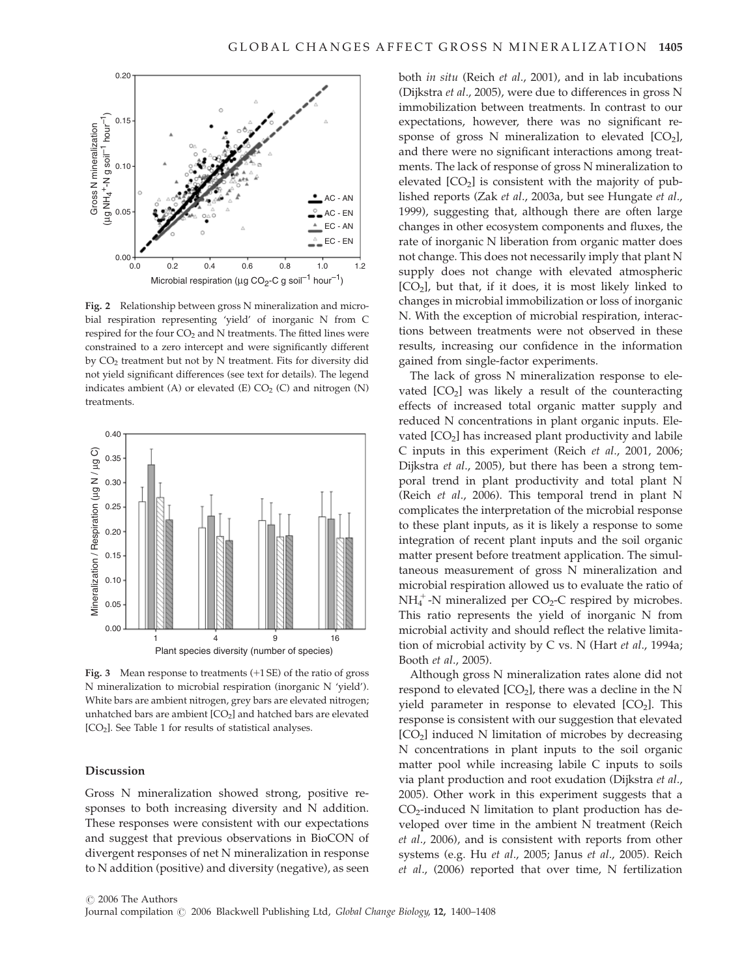

Fig. 2 Relationship between gross N mineralization and microbial respiration representing 'yield' of inorganic N from C respired for the four  $CO<sub>2</sub>$  and N treatments. The fitted lines were constrained to a zero intercept and were significantly different by CO2 treatment but not by N treatment. Fits for diversity did not yield significant differences (see text for details). The legend indicates ambient (A) or elevated (E)  $CO<sub>2</sub>$  (C) and nitrogen (N) treatments.



Fig. 3 Mean response to treatments  $(+1 S<sub>E</sub>)$  of the ratio of gross N mineralization to microbial respiration (inorganic N 'yield'). White bars are ambient nitrogen, grey bars are elevated nitrogen; unhatched bars are ambient  $[CO<sub>2</sub>]$  and hatched bars are elevated [CO<sub>2</sub>]. See Table 1 for results of statistical analyses.

## Discussion

Gross N mineralization showed strong, positive responses to both increasing diversity and N addition. These responses were consistent with our expectations and suggest that previous observations in BioCON of divergent responses of net N mineralization in response to N addition (positive) and diversity (negative), as seen both in situ (Reich et al., 2001), and in lab incubations (Dijkstra et al., 2005), were due to differences in gross N immobilization between treatments. In contrast to our expectations, however, there was no significant response of gross N mineralization to elevated  $[CO<sub>2</sub>]$ , and there were no significant interactions among treatments. The lack of response of gross N mineralization to elevated  $[CO<sub>2</sub>]$  is consistent with the majority of published reports (Zak et al., 2003a, but see Hungate et al., 1999), suggesting that, although there are often large changes in other ecosystem components and fluxes, the rate of inorganic N liberation from organic matter does not change. This does not necessarily imply that plant N supply does not change with elevated atmospheric  $[CO<sub>2</sub>]$ , but that, if it does, it is most likely linked to changes in microbial immobilization or loss of inorganic N. With the exception of microbial respiration, interactions between treatments were not observed in these results, increasing our confidence in the information gained from single-factor experiments.

The lack of gross N mineralization response to elevated  $[CO<sub>2</sub>]$  was likely a result of the counteracting effects of increased total organic matter supply and reduced N concentrations in plant organic inputs. Elevated  $[CO<sub>2</sub>]$  has increased plant productivity and labile C inputs in this experiment (Reich et al., 2001, 2006; Dijkstra et al., 2005), but there has been a strong temporal trend in plant productivity and total plant N (Reich et al., 2006). This temporal trend in plant N complicates the interpretation of the microbial response to these plant inputs, as it is likely a response to some integration of recent plant inputs and the soil organic matter present before treatment application. The simultaneous measurement of gross N mineralization and microbial respiration allowed us to evaluate the ratio of  $NH_4^+$ -N mineralized per CO<sub>2</sub>-C respired by microbes. This ratio represents the yield of inorganic N from microbial activity and should reflect the relative limitation of microbial activity by C vs. N (Hart et al., 1994a; Booth et al., 2005).

Although gross N mineralization rates alone did not respond to elevated  $[CO_2]$ , there was a decline in the N yield parameter in response to elevated  $[CO<sub>2</sub>]$ . This response is consistent with our suggestion that elevated  $[CO<sub>2</sub>]$  induced N limitation of microbes by decreasing N concentrations in plant inputs to the soil organic matter pool while increasing labile C inputs to soils via plant production and root exudation (Dijkstra et al., 2005). Other work in this experiment suggests that a  $CO<sub>2</sub>$ -induced N limitation to plant production has developed over time in the ambient N treatment (Reich et al., 2006), and is consistent with reports from other systems (e.g. Hu et al., 2005; Janus et al., 2005). Reich et al., (2006) reported that over time, N fertilization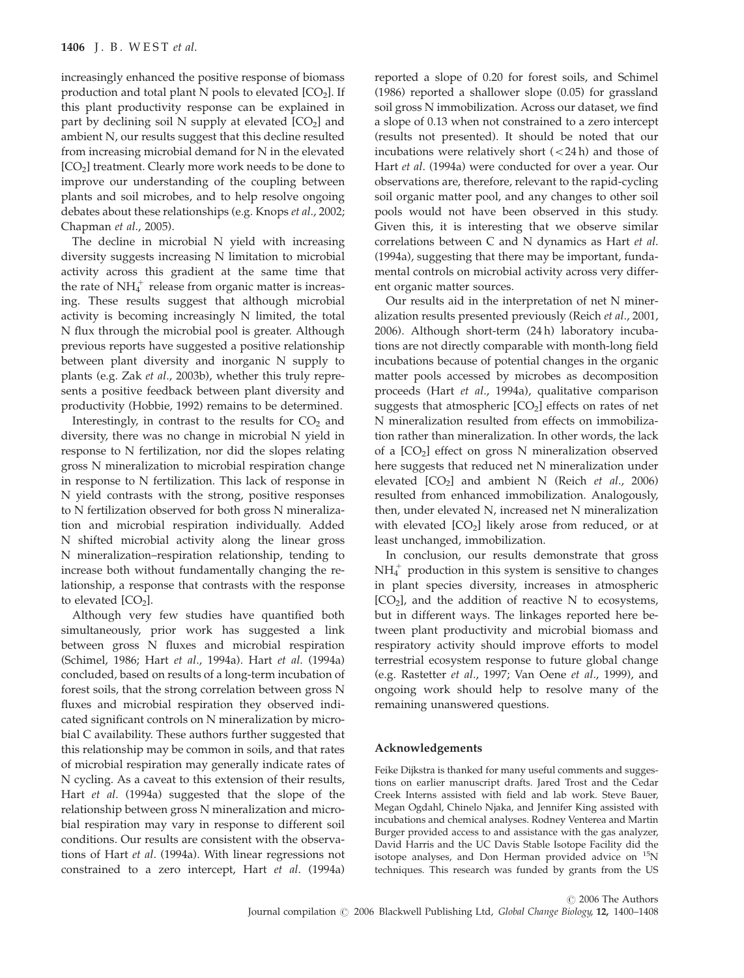increasingly enhanced the positive response of biomass production and total plant N pools to elevated  $[CO<sub>2</sub>]$ . If this plant productivity response can be explained in part by declining soil N supply at elevated  $[CO<sub>2</sub>]$  and ambient N, our results suggest that this decline resulted from increasing microbial demand for N in the elevated [CO<sub>2</sub>] treatment. Clearly more work needs to be done to improve our understanding of the coupling between plants and soil microbes, and to help resolve ongoing debates about these relationships (e.g. Knops et al., 2002; Chapman et al., 2005).

The decline in microbial N yield with increasing diversity suggests increasing N limitation to microbial activity across this gradient at the same time that the rate of  $NH<sub>4</sub><sup>+</sup>$  release from organic matter is increasing. These results suggest that although microbial activity is becoming increasingly N limited, the total N flux through the microbial pool is greater. Although previous reports have suggested a positive relationship between plant diversity and inorganic N supply to plants (e.g. Zak et al., 2003b), whether this truly represents a positive feedback between plant diversity and productivity (Hobbie, 1992) remains to be determined.

Interestingly, in contrast to the results for  $CO<sub>2</sub>$  and diversity, there was no change in microbial N yield in response to N fertilization, nor did the slopes relating gross N mineralization to microbial respiration change in response to N fertilization. This lack of response in N yield contrasts with the strong, positive responses to N fertilization observed for both gross N mineralization and microbial respiration individually. Added N shifted microbial activity along the linear gross N mineralization–respiration relationship, tending to increase both without fundamentally changing the relationship, a response that contrasts with the response to elevated  $[CO<sub>2</sub>]$ .

Although very few studies have quantified both simultaneously, prior work has suggested a link between gross N fluxes and microbial respiration (Schimel, 1986; Hart et al., 1994a). Hart et al. (1994a) concluded, based on results of a long-term incubation of forest soils, that the strong correlation between gross N fluxes and microbial respiration they observed indicated significant controls on N mineralization by microbial C availability. These authors further suggested that this relationship may be common in soils, and that rates of microbial respiration may generally indicate rates of N cycling. As a caveat to this extension of their results, Hart et al. (1994a) suggested that the slope of the relationship between gross N mineralization and microbial respiration may vary in response to different soil conditions. Our results are consistent with the observations of Hart et al. (1994a). With linear regressions not constrained to a zero intercept, Hart et al. (1994a)

reported a slope of 0.20 for forest soils, and Schimel (1986) reported a shallower slope (0.05) for grassland soil gross N immobilization. Across our dataset, we find a slope of 0.13 when not constrained to a zero intercept (results not presented). It should be noted that our incubations were relatively short  $\left\langle \langle 24 \, h \rangle \right\rangle$  and those of Hart et al. (1994a) were conducted for over a year. Our observations are, therefore, relevant to the rapid-cycling soil organic matter pool, and any changes to other soil pools would not have been observed in this study. Given this, it is interesting that we observe similar correlations between C and N dynamics as Hart et al. (1994a), suggesting that there may be important, fundamental controls on microbial activity across very different organic matter sources.

Our results aid in the interpretation of net N mineralization results presented previously (Reich et al., 2001, 2006). Although short-term (24 h) laboratory incubations are not directly comparable with month-long field incubations because of potential changes in the organic matter pools accessed by microbes as decomposition proceeds (Hart et al., 1994a), qualitative comparison suggests that atmospheric  $[CO<sub>2</sub>]$  effects on rates of net N mineralization resulted from effects on immobilization rather than mineralization. In other words, the lack of a [CO<sub>2</sub>] effect on gross N mineralization observed here suggests that reduced net N mineralization under elevated  $[CO<sub>2</sub>]$  and ambient N (Reich *et al.*, 2006) resulted from enhanced immobilization. Analogously, then, under elevated N, increased net N mineralization with elevated  $[CO<sub>2</sub>]$  likely arose from reduced, or at least unchanged, immobilization.

In conclusion, our results demonstrate that gross  $NH<sub>4</sub><sup>+</sup>$  production in this system is sensitive to changes in plant species diversity, increases in atmospheric  $[CO<sub>2</sub>]$ , and the addition of reactive N to ecosystems, but in different ways. The linkages reported here between plant productivity and microbial biomass and respiratory activity should improve efforts to model terrestrial ecosystem response to future global change (e.g. Rastetter et al., 1997; Van Oene et al., 1999), and ongoing work should help to resolve many of the remaining unanswered questions.

#### Acknowledgements

Feike Dijkstra is thanked for many useful comments and suggestions on earlier manuscript drafts. Jared Trost and the Cedar Creek Interns assisted with field and lab work. Steve Bauer, Megan Ogdahl, Chinelo Njaka, and Jennifer King assisted with incubations and chemical analyses. Rodney Venterea and Martin Burger provided access to and assistance with the gas analyzer, David Harris and the UC Davis Stable Isotope Facility did the isotope analyses, and Don Herman provided advice on  $^{15}N$ techniques. This research was funded by grants from the US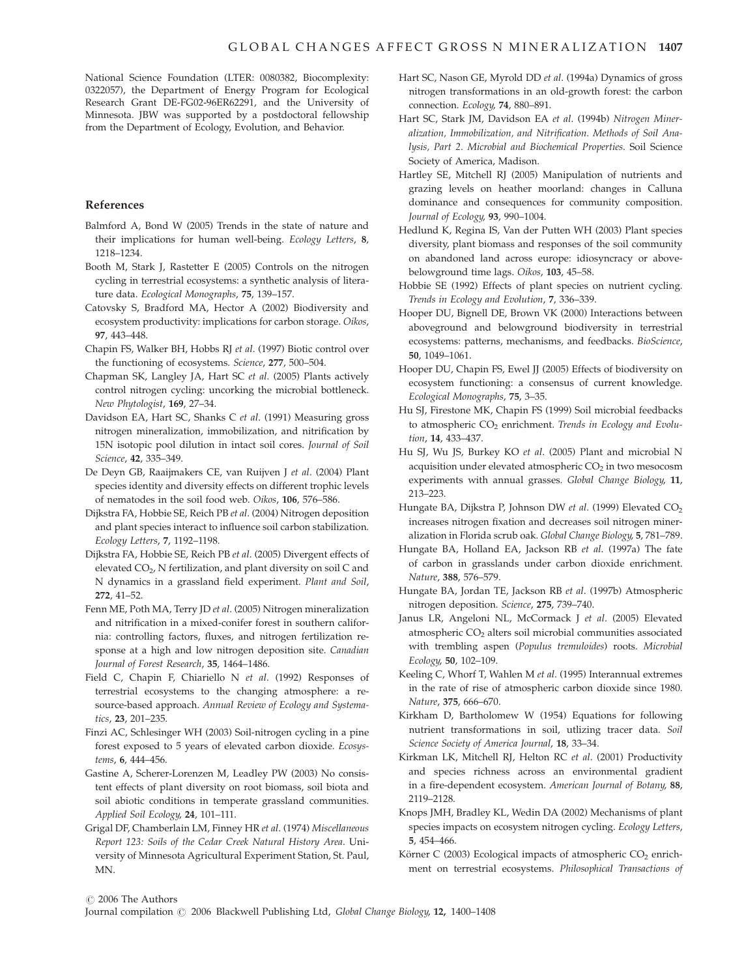National Science Foundation (LTER: 0080382, Biocomplexity: 0322057), the Department of Energy Program for Ecological Research Grant DE-FG02-96ER62291, and the University of Minnesota. JBW was supported by a postdoctoral fellowship from the Department of Ecology, Evolution, and Behavior.

#### References

- Balmford A, Bond W (2005) Trends in the state of nature and their implications for human well-being. Ecology Letters, 8, 1218–1234.
- Booth M, Stark J, Rastetter E (2005) Controls on the nitrogen cycling in terrestrial ecosystems: a synthetic analysis of literature data. Ecological Monographs, 75, 139–157.
- Catovsky S, Bradford MA, Hector A (2002) Biodiversity and ecosystem productivity: implications for carbon storage. Oikos, 97, 443–448.
- Chapin FS, Walker BH, Hobbs RJ et al. (1997) Biotic control over the functioning of ecosystems. Science, 277, 500–504.
- Chapman SK, Langley JA, Hart SC et al. (2005) Plants actively control nitrogen cycling: uncorking the microbial bottleneck. New Phytologist, 169, 27–34.
- Davidson EA, Hart SC, Shanks C et al. (1991) Measuring gross nitrogen mineralization, immobilization, and nitrification by 15N isotopic pool dilution in intact soil cores. Journal of Soil Science, 42, 335–349.
- De Deyn GB, Raaijmakers CE, van Ruijven J et al. (2004) Plant species identity and diversity effects on different trophic levels of nematodes in the soil food web. Oikos, 106, 576–586.
- Dijkstra FA, Hobbie SE, Reich PB et al. (2004) Nitrogen deposition and plant species interact to influence soil carbon stabilization. Ecology Letters, 7, 1192–1198.
- Dijkstra FA, Hobbie SE, Reich PB et al. (2005) Divergent effects of elevated CO<sub>2</sub>, N fertilization, and plant diversity on soil C and N dynamics in a grassland field experiment. Plant and Soil, 272, 41–52.
- Fenn ME, Poth MA, Terry JD et al. (2005) Nitrogen mineralization and nitrification in a mixed-conifer forest in southern california: controlling factors, fluxes, and nitrogen fertilization response at a high and low nitrogen deposition site. Canadian Journal of Forest Research, 35, 1464–1486.
- Field C, Chapin F, Chiariello N et al. (1992) Responses of terrestrial ecosystems to the changing atmosphere: a resource-based approach. Annual Review of Ecology and Systematics, 23, 201–235.
- Finzi AC, Schlesinger WH (2003) Soil-nitrogen cycling in a pine forest exposed to 5 years of elevated carbon dioxide. Ecosystems, 6, 444–456.
- Gastine A, Scherer-Lorenzen M, Leadley PW (2003) No consistent effects of plant diversity on root biomass, soil biota and soil abiotic conditions in temperate grassland communities. Applied Soil Ecology, 24, 101–111.
- Grigal DF, Chamberlain LM, Finney HR et al. (1974) Miscellaneous Report 123: Soils of the Cedar Creek Natural History Area. University of Minnesota Agricultural Experiment Station, St. Paul, MN.
- Hart SC, Nason GE, Myrold DD et al. (1994a) Dynamics of gross nitrogen transformations in an old-growth forest: the carbon connection. Ecology, 74, 880–891.
- Hart SC, Stark JM, Davidson EA et al. (1994b) Nitrogen Mineralization, Immobilization, and Nitrification. Methods of Soil Analysis, Part 2. Microbial and Biochemical Properties. Soil Science Society of America, Madison.
- Hartley SE, Mitchell RJ (2005) Manipulation of nutrients and grazing levels on heather moorland: changes in Calluna dominance and consequences for community composition. Journal of Ecology, 93, 990–1004.
- Hedlund K, Regina IS, Van der Putten WH (2003) Plant species diversity, plant biomass and responses of the soil community on abandoned land across europe: idiosyncracy or abovebelowground time lags. Oikos, 103, 45–58.
- Hobbie SE (1992) Effects of plant species on nutrient cycling. Trends in Ecology and Evolution, 7, 336–339.
- Hooper DU, Bignell DE, Brown VK (2000) Interactions between aboveground and belowground biodiversity in terrestrial ecosystems: patterns, mechanisms, and feedbacks. BioScience, 50, 1049–1061.
- Hooper DU, Chapin FS, Ewel JJ (2005) Effects of biodiversity on ecosystem functioning: a consensus of current knowledge. Ecological Monographs, 75, 3–35.
- Hu SJ, Firestone MK, Chapin FS (1999) Soil microbial feedbacks to atmospheric  $CO<sub>2</sub>$  enrichment. Trends in Ecology and Evolution, 14, 433–437.
- Hu SJ, Wu JS, Burkey KO et al. (2005) Plant and microbial N acquisition under elevated atmospheric  $CO<sub>2</sub>$  in two mesocosm experiments with annual grasses. Global Change Biology, 11, 213–223.
- Hungate BA, Dijkstra P, Johnson DW et al. (1999) Elevated CO<sub>2</sub> increases nitrogen fixation and decreases soil nitrogen mineralization in Florida scrub oak. Global Change Biology, 5, 781–789.
- Hungate BA, Holland EA, Jackson RB et al. (1997a) The fate of carbon in grasslands under carbon dioxide enrichment. Nature, 388, 576–579.
- Hungate BA, Jordan TE, Jackson RB et al. (1997b) Atmospheric nitrogen deposition. Science, 275, 739–740.
- Janus LR, Angeloni NL, McCormack J et al. (2005) Elevated atmospheric CO<sub>2</sub> alters soil microbial communities associated with trembling aspen (Populus tremuloides) roots. Microbial Ecology, 50, 102–109.
- Keeling C, Whorf T, Wahlen M et al. (1995) Interannual extremes in the rate of rise of atmospheric carbon dioxide since 1980. Nature, 375, 666–670.
- Kirkham D, Bartholomew W (1954) Equations for following nutrient transformations in soil, utlizing tracer data. Soil Science Society of America Journal, 18, 33–34.
- Kirkman LK, Mitchell RJ, Helton RC et al. (2001) Productivity and species richness across an environmental gradient in a fire-dependent ecosystem. American Journal of Botany, 88, 2119–2128.
- Knops JMH, Bradley KL, Wedin DA (2002) Mechanisms of plant species impacts on ecosystem nitrogen cycling. Ecology Letters, 5, 454–466.
- Körner C (2003) Ecological impacts of atmospheric  $CO<sub>2</sub>$  enrichment on terrestrial ecosystems. Philosophical Transactions of

 $\odot$  2006 The Authors

Journal compilation  $\odot$  2006 Blackwell Publishing Ltd, Global Change Biology, 12, 1400–1408